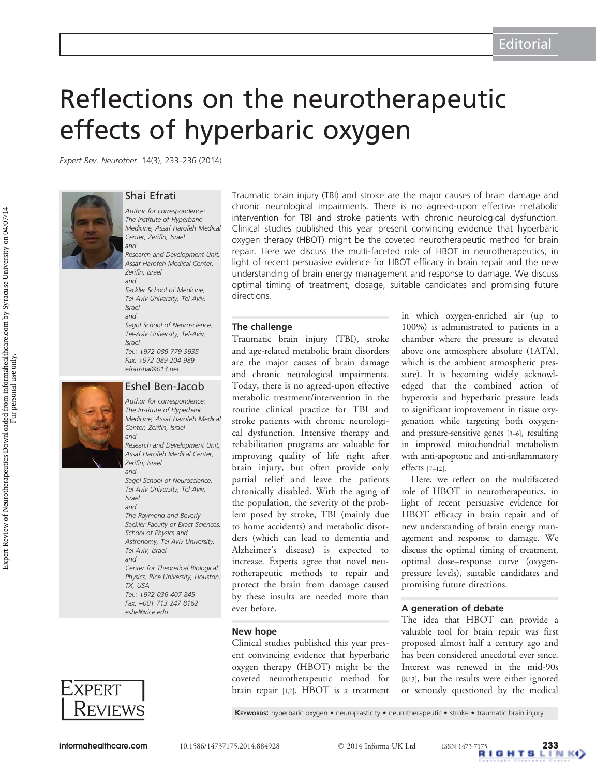# Reflections on the neurotherapeutic effects of hyperbaric oxygen

Expert Rev. Neurother. 14(3), 233–236 (2014)



# Shai Efrati

Author for correspondence: The Institute of Hyperbaric Medicine, Assaf Harofeh Medical Center, Zerifin, Israel and Research and Development Unit, Assaf Harofeh Medical Center, Zerifin, Israel and Sackler School of Medicine, Tel-Aviv University, Tel-Aviv, Israel and Sagol School of Neuroscience, Tel-Aviv University, Tel-Aviv, Israel Tel.: +972 089 779 3935

Fax: +972 089 204 989 efratishai@013.net



# Eshel Ben-Jacob Author for correspondence:

The Institute of Hyperbaric Medicine, Assaf Harofeh Medical Center, Zerifin, Israel and Research and Development Unit, Assaf Harofeh Medical Center, Zerifin, Israel and Sagol School of Neuroscience, Tel-Aviv University, Tel-Aviv, Israel and The Raymond and Beverly Sackler Faculty of Exact Sciences, School of Physics and Astronomy, Tel-Aviv University, Tel-Aviv, Israel and Center for Theoretical Biological Physics, Rice University, Houston, TX, USA Tel.: +972 036 407 845 Fax: +001 713 247 8162 eshel@rice.edu

Traumatic brain injury (TBI) and stroke are the major causes of brain damage and chronic neurological impairments. There is no agreed-upon effective metabolic intervention for TBI and stroke patients with chronic neurological dysfunction. Clinical studies published this year present convincing evidence that hyperbaric oxygen therapy (HBOT) might be the coveted neurotherapeutic method for brain repair. Here we discuss the multi-faceted role of HBOT in neurotherapeutics, in light of recent persuasive evidence for HBOT efficacy in brain repair and the new understanding of brain energy management and response to damage. We discuss optimal timing of treatment, dosage, suitable candidates and promising future directions.

## The challenge

Traumatic brain injury (TBI), stroke and age-related metabolic brain disorders are the major causes of brain damage and chronic neurological impairments. Today, there is no agreed-upon effective metabolic treatment/intervention in the routine clinical practice for TBI and stroke patients with chronic neurological dysfunction. Intensive therapy and rehabilitation programs are valuable for improving quality of life right after brain injury, but often provide only partial relief and leave the patients chronically disabled. With the aging of the population, the severity of the problem posed by stroke, TBI (mainly due to home accidents) and metabolic disorders (which can lead to dementia and Alzheimer's disease) is expected to increase. Experts agree that novel neurotherapeutic methods to repair and protect the brain from damage caused by these insults are needed more than ever before.

### New hope

Clinical studies published this year present convincing evidence that hyperbaric oxygen therapy (HBOT) might be the coveted neurotherapeutic method for brain repair [\[1](#page-3-0),[2\]](#page-3-0). HBOT is a treatment in which oxygen-enriched air (up to 100%) is administrated to patients in a chamber where the pressure is elevated above one atmosphere absolute (1ATA), which is the ambient atmospheric pressure). It is becoming widely acknowledged that the combined action of hyperoxia and hyperbaric pressure leads to significant improvement in tissue oxygenation while targeting both oxygenand pressure-sensitive genes [[3](#page-3-0)–[6\]](#page-3-0), resulting in improved mitochondrial metabolism with anti-apoptotic and anti-inflammatory effects [[7](#page-3-0)–[12](#page-3-0)].

Here, we reflect on the multifaceted role of HBOT in neurotherapeutics, in light of recent persuasive evidence for HBOT efficacy in brain repair and of new understanding of brain energy management and response to damage. We discuss the optimal timing of treatment, optimal dose–response curve (oxygenpressure levels), suitable candidates and promising future directions.

#### A generation of debate

The idea that HBOT can provide a valuable tool for brain repair was first proposed almost half a century ago and has been considered anecdotal ever since. Interest was renewed in the mid-90s [[8](#page-3-0),[13](#page-3-0)], but the results were either ignored or seriously questioned by the medical



KEYWORDS: hyperbaric oxygen • neuroplasticity • neurotherapeutic • stroke • traumatic brain injury

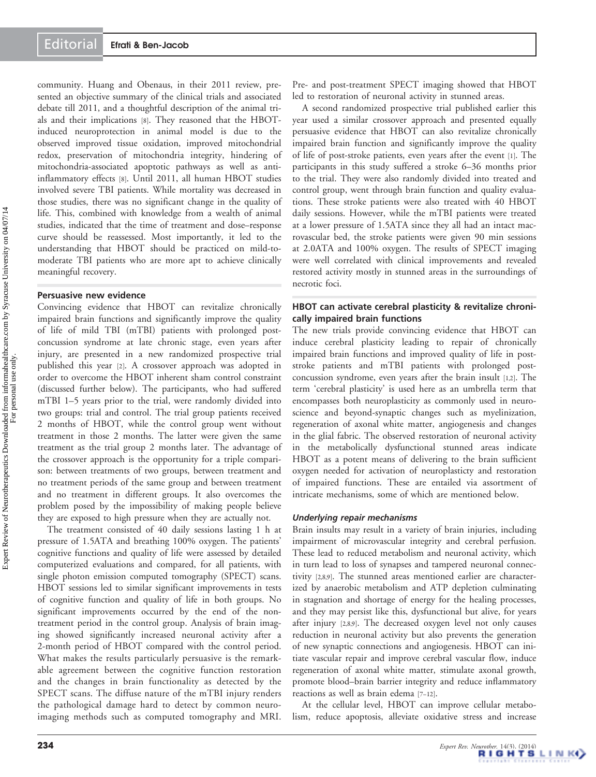community. Huang and Obenaus, in their 2011 review, presented an objective summary of the clinical trials and associated debate till 2011, and a thoughtful description of the animal trials and their implications [\[8\]](#page-3-0). They reasoned that the HBOTinduced neuroprotection in animal model is due to the observed improved tissue oxidation, improved mitochondrial redox, preservation of mitochondria integrity, hindering of mitochondria-associated apoptotic pathways as well as antiinflammatory effects [[8](#page-3-0)]. Until 2011, all human HBOT studies involved severe TBI patients. While mortality was decreased in those studies, there was no significant change in the quality of life. This, combined with knowledge from a wealth of animal studies, indicated that the time of treatment and dose–response curve should be reassessed. Most importantly, it led to the understanding that HBOT should be practiced on mild-tomoderate TBI patients who are more apt to achieve clinically meaningful recovery.

#### Persuasive new evidence

Convincing evidence that HBOT can revitalize chronically impaired brain functions and significantly improve the quality of life of mild TBI (mTBI) patients with prolonged postconcussion syndrome at late chronic stage, even years after injury, are presented in a new randomized prospective trial published this year [[2](#page-3-0)]. A crossover approach was adopted in order to overcome the HBOT inherent sham control constraint (discussed further below). The participants, who had suffered mTBI 1–5 years prior to the trial, were randomly divided into two groups: trial and control. The trial group patients received 2 months of HBOT, while the control group went without treatment in those 2 months. The latter were given the same treatment as the trial group 2 months later. The advantage of the crossover approach is the opportunity for a triple comparison: between treatments of two groups, between treatment and no treatment periods of the same group and between treatment and no treatment in different groups. It also overcomes the problem posed by the impossibility of making people believe they are exposed to high pressure when they are actually not.

The treatment consisted of 40 daily sessions lasting 1 h at pressure of 1.5ATA and breathing 100% oxygen. The patients' cognitive functions and quality of life were assessed by detailed computerized evaluations and compared, for all patients, with single photon emission computed tomography (SPECT) scans. HBOT sessions led to similar significant improvements in tests of cognitive function and quality of life in both groups. No significant improvements occurred by the end of the nontreatment period in the control group. Analysis of brain imaging showed significantly increased neuronal activity after a 2-month period of HBOT compared with the control period. What makes the results particularly persuasive is the remarkable agreement between the cognitive function restoration and the changes in brain functionality as detected by the SPECT scans. The diffuse nature of the mTBI injury renders the pathological damage hard to detect by common neuroimaging methods such as computed tomography and MRI. Pre- and post-treatment SPECT imaging showed that HBOT led to restoration of neuronal activity in stunned areas.

A second randomized prospective trial published earlier this year used a similar crossover approach and presented equally persuasive evidence that HBOT can also revitalize chronically impaired brain function and significantly improve the quality of life of post-stroke patients, even years after the event [[1\]](#page-3-0). The participants in this study suffered a stroke 6–36 months prior to the trial. They were also randomly divided into treated and control group, went through brain function and quality evaluations. These stroke patients were also treated with 40 HBOT daily sessions. However, while the mTBI patients were treated at a lower pressure of 1.5ATA since they all had an intact macrovascular bed, the stroke patients were given 90 min sessions at 2.0ATA and 100% oxygen. The results of SPECT imaging were well correlated with clinical improvements and revealed restored activity mostly in stunned areas in the surroundings of necrotic foci.

## HBOT can activate cerebral plasticity & revitalize chronically impaired brain functions

The new trials provide convincing evidence that HBOT can induce cerebral plasticity leading to repair of chronically impaired brain functions and improved quality of life in poststroke patients and mTBI patients with prolonged postconcussion syndrome, even years after the brain insult [[1](#page-3-0),[2\]](#page-3-0). The term 'cerebral plasticity' is used here as an umbrella term that encompasses both neuroplasticity as commonly used in neuroscience and beyond-synaptic changes such as myelinization, regeneration of axonal white matter, angiogenesis and changes in the glial fabric. The observed restoration of neuronal activity in the metabolically dysfunctional stunned areas indicate HBOT as a potent means of delivering to the brain sufficient oxygen needed for activation of neuroplasticty and restoration of impaired functions. These are entailed via assortment of intricate mechanisms, some of which are mentioned below.

#### Underlying repair mechanisms

Brain insults may result in a variety of brain injuries, including impairment of microvascular integrity and cerebral perfusion. These lead to reduced metabolism and neuronal activity, which in turn lead to loss of synapses and tampered neuronal connectivity [\[2](#page-3-0),[8,9\]](#page-3-0). The stunned areas mentioned earlier are characterized by anaerobic metabolism and ATP depletion culminating in stagnation and shortage of energy for the healing processes, and they may persist like this, dysfunctional but alive, for years after injury [\[2,8](#page-3-0),[9\]](#page-3-0). The decreased oxygen level not only causes reduction in neuronal activity but also prevents the generation of new synaptic connections and angiogenesis. HBOT can initiate vascular repair and improve cerebral vascular flow, induce regeneration of axonal white matter, stimulate axonal growth, promote blood–brain barrier integrity and reduce inflammatory reactions as well as brain edema [\[7](#page-3-0)–[12\]](#page-3-0).

At the cellular level, HBOT can improve cellular metabolism, reduce apoptosis, alleviate oxidative stress and increase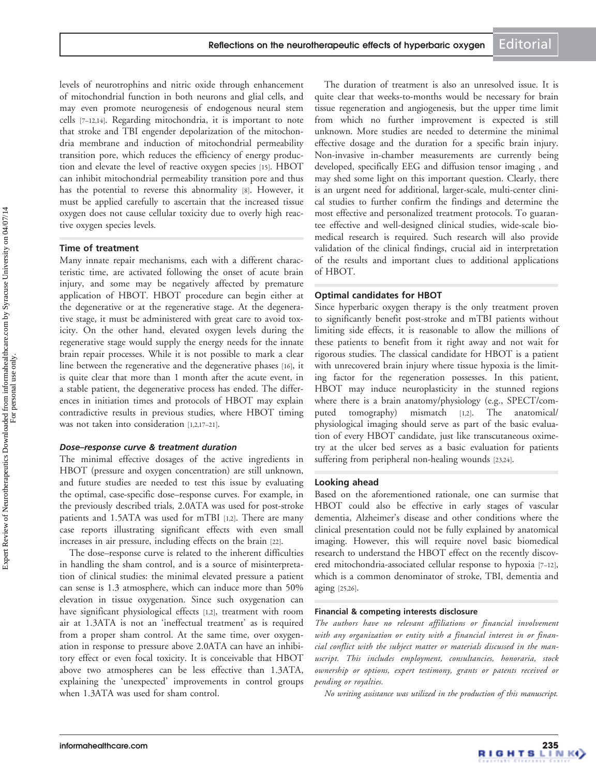levels of neurotrophins and nitric oxide through enhancement of mitochondrial function in both neurons and glial cells, and may even promote neurogenesis of endogenous neural stem cells [[7](#page-3-0)–[12](#page-3-0),[14](#page-3-0)]. Regarding mitochondria, it is important to note that stroke and TBI engender depolarization of the mitochondria membrane and induction of mitochondrial permeability transition pore, which reduces the efficiency of energy production and elevate the level of reactive oxygen species [\[15\]](#page-3-0). HBOT can inhibit mitochondrial permeability transition pore and thus has the potential to reverse this abnormality [[8](#page-3-0)]. However, it must be applied carefully to ascertain that the increased tissue oxygen does not cause cellular toxicity due to overly high reactive oxygen species levels.

#### Time of treatment

Many innate repair mechanisms, each with a different characteristic time, are activated following the onset of acute brain injury, and some may be negatively affected by premature application of HBOT. HBOT procedure can begin either at the degenerative or at the regenerative stage. At the degenerative stage, it must be administered with great care to avoid toxicity. On the other hand, elevated oxygen levels during the regenerative stage would supply the energy needs for the innate brain repair processes. While it is not possible to mark a clear line between the regenerative and the degenerative phases [\[16\]](#page-3-0), it is quite clear that more than 1 month after the acute event, in a stable patient, the degenerative process has ended. The differences in initiation times and protocols of HBOT may explain contradictive results in previous studies, where HBOT timing was not taken into consideration [\[1](#page-3-0),[2,17](#page-3-0)–[21](#page-3-0)].

#### Dose–response curve & treatment duration

The minimal effective dosages of the active ingredients in HBOT (pressure and oxygen concentration) are still unknown, and future studies are needed to test this issue by evaluating the optimal, case-specific dose–response curves. For example, in the previously described trials, 2.0ATA was used for post-stroke patients and 1.5ATA was used for mTBI [[1](#page-3-0),[2\]](#page-3-0). There are many case reports illustrating significant effects with even small increases in air pressure, including effects on the brain [[22](#page-3-0)].

The dose–response curve is related to the inherent difficulties in handling the sham control, and is a source of misinterpretation of clinical studies: the minimal elevated pressure a patient can sense is 1.3 atmosphere, which can induce more than 50% elevation in tissue oxygenation. Since such oxygenation can have significant physiological effects [[1](#page-3-0),[2\]](#page-3-0), treatment with room air at 1.3ATA is not an 'ineffectual treatment' as is required from a proper sham control. At the same time, over oxygenation in response to pressure above 2.0ATA can have an inhibitory effect or even focal toxicity. It is conceivable that HBOT above two atmospheres can be less effective than 1.3ATA, explaining the 'unexpected' improvements in control groups when 1.3ATA was used for sham control.

The duration of treatment is also an unresolved issue. It is quite clear that weeks-to-months would be necessary for brain tissue regeneration and angiogenesis, but the upper time limit from which no further improvement is expected is still unknown. More studies are needed to determine the minimal effective dosage and the duration for a specific brain injury. Non-invasive in-chamber measurements are currently being developed, specifically EEG and diffusion tensor imaging , and may shed some light on this important question. Clearly, there is an urgent need for additional, larger-scale, multi-center clinical studies to further confirm the findings and determine the most effective and personalized treatment protocols. To guarantee effective and well-designed clinical studies, wide-scale biomedical research is required. Such research will also provide validation of the clinical findings, crucial aid in interpretation of the results and important clues to additional applications of HBOT.

#### Optimal candidates for HBOT

Since hyperbaric oxygen therapy is the only treatment proven to significantly benefit post-stroke and mTBI patients without limiting side effects, it is reasonable to allow the millions of these patients to benefit from it right away and not wait for rigorous studies. The classical candidate for HBOT is a patient with unrecovered brain injury where tissue hypoxia is the limiting factor for the regeneration possesses. In this patient, HBOT may induce neuroplasticity in the stunned regions where there is a brain anatomy/physiology (e.g., SPECT/computed tomography) mismatch [\[1](#page-3-0),[2](#page-3-0)]. The anatomical/ physiological imaging should serve as part of the basic evaluation of every HBOT candidate, just like transcutaneous oximetry at the ulcer bed serves as a basic evaluation for patients suffering from peripheral non-healing wounds [[23](#page-3-0),[24](#page-3-0)].

#### Looking ahead

Based on the aforementioned rationale, one can surmise that HBOT could also be effective in early stages of vascular dementia, Alzheimer's disease and other conditions where the clinical presentation could not be fully explained by anatomical imaging. However, this will require novel basic biomedical research to understand the HBOT effect on the recently discovered mitochondria-associated cellular response to hypoxia [[7](#page-3-0)–[12](#page-3-0)], which is a common denominator of stroke, TBI, dementia and aging [[25](#page-3-0),[26](#page-3-0)].

#### Financial & competing interests disclosure

The authors have no relevant affiliations or financial involvement with any organization or entity with a financial interest in or financial conflict with the subject matter or materials discussed in the manuscript. This includes employment, consultancies, honoraria, stock ownership or options, expert testimony, grants or patents received or pending or royalties.

No writing assistance was utilized in the production of this manuscript.